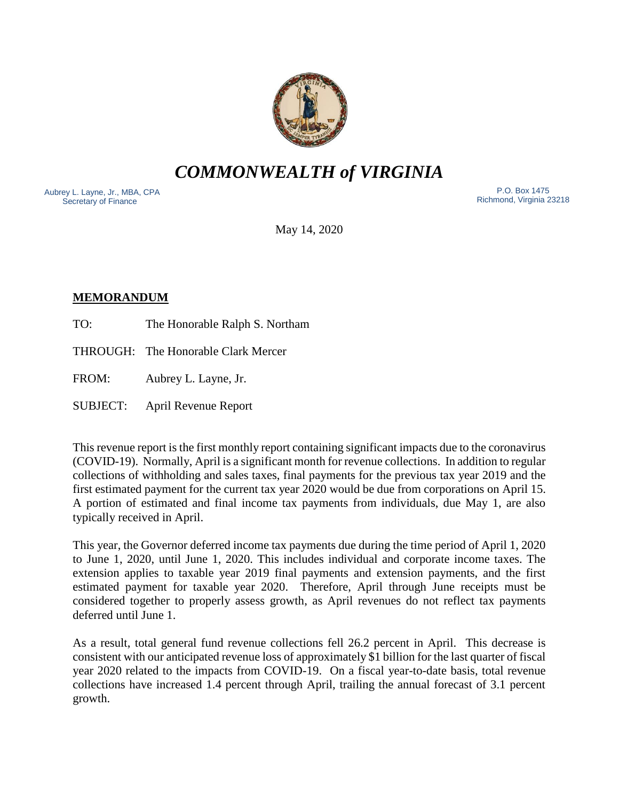

*COMMONWEALTH of VIRGINIA*

Aubrey L. Layne, Jr., MBA, CPA Secretary of Finance

 P.O. Box 1475 Richmond, Virginia 23218

May 14, 2020

# **MEMORANDUM**

TO: The Honorable Ralph S. Northam

THROUGH: The Honorable Clark Mercer

FROM: Aubrey L. Layne, Jr.

SUBJECT: April Revenue Report

This revenue report is the first monthly report containing significant impacts due to the coronavirus (COVID-19). Normally, April is a significant month for revenue collections. In addition to regular collections of withholding and sales taxes, final payments for the previous tax year 2019 and the first estimated payment for the current tax year 2020 would be due from corporations on April 15. A portion of estimated and final income tax payments from individuals, due May 1, are also typically received in April.

This year, the Governor deferred income tax payments due during the time period of April 1, 2020 to June 1, 2020, until June 1, 2020. This includes individual and corporate income taxes. The extension applies to taxable year 2019 final payments and extension payments, and the first estimated payment for taxable year 2020. Therefore, April through June receipts must be considered together to properly assess growth, as April revenues do not reflect tax payments deferred until June 1.

As a result, total general fund revenue collections fell 26.2 percent in April. This decrease is consistent with our anticipated revenue loss of approximately \$1 billion for the last quarter of fiscal year 2020 related to the impacts from COVID-19. On a fiscal year-to-date basis, total revenue collections have increased 1.4 percent through April, trailing the annual forecast of 3.1 percent growth.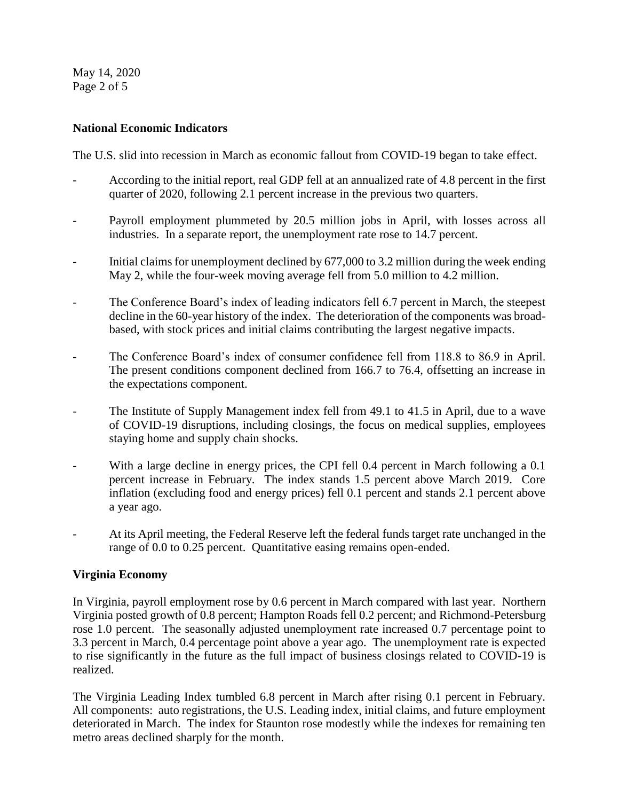May 14, 2020 Page 2 of 5

# **National Economic Indicators**

The U.S. slid into recession in March as economic fallout from COVID-19 began to take effect.

- According to the initial report, real GDP fell at an annualized rate of 4.8 percent in the first quarter of 2020, following 2.1 percent increase in the previous two quarters.
- Payroll employment plummeted by 20.5 million jobs in April, with losses across all industries. In a separate report, the unemployment rate rose to 14.7 percent.
- Initial claims for unemployment declined by 677,000 to 3.2 million during the week ending May 2, while the four-week moving average fell from 5.0 million to 4.2 million.
- The Conference Board's index of leading indicators fell 6.7 percent in March, the steepest decline in the 60-year history of the index. The deterioration of the components was broadbased, with stock prices and initial claims contributing the largest negative impacts.
- The Conference Board's index of consumer confidence fell from 118.8 to 86.9 in April. The present conditions component declined from 166.7 to 76.4, offsetting an increase in the expectations component.
- The Institute of Supply Management index fell from 49.1 to 41.5 in April, due to a wave of COVID-19 disruptions, including closings, the focus on medical supplies, employees staying home and supply chain shocks.
- With a large decline in energy prices, the CPI fell 0.4 percent in March following a 0.1 percent increase in February. The index stands 1.5 percent above March 2019. Core inflation (excluding food and energy prices) fell 0.1 percent and stands 2.1 percent above a year ago.
- At its April meeting, the Federal Reserve left the federal funds target rate unchanged in the range of 0.0 to 0.25 percent. Quantitative easing remains open-ended.

## **Virginia Economy**

In Virginia, payroll employment rose by 0.6 percent in March compared with last year. Northern Virginia posted growth of 0.8 percent; Hampton Roads fell 0.2 percent; and Richmond-Petersburg rose 1.0 percent. The seasonally adjusted unemployment rate increased 0.7 percentage point to 3.3 percent in March, 0.4 percentage point above a year ago. The unemployment rate is expected to rise significantly in the future as the full impact of business closings related to COVID-19 is realized.

The Virginia Leading Index tumbled 6.8 percent in March after rising 0.1 percent in February. All components: auto registrations, the U.S. Leading index, initial claims, and future employment deteriorated in March. The index for Staunton rose modestly while the indexes for remaining ten metro areas declined sharply for the month.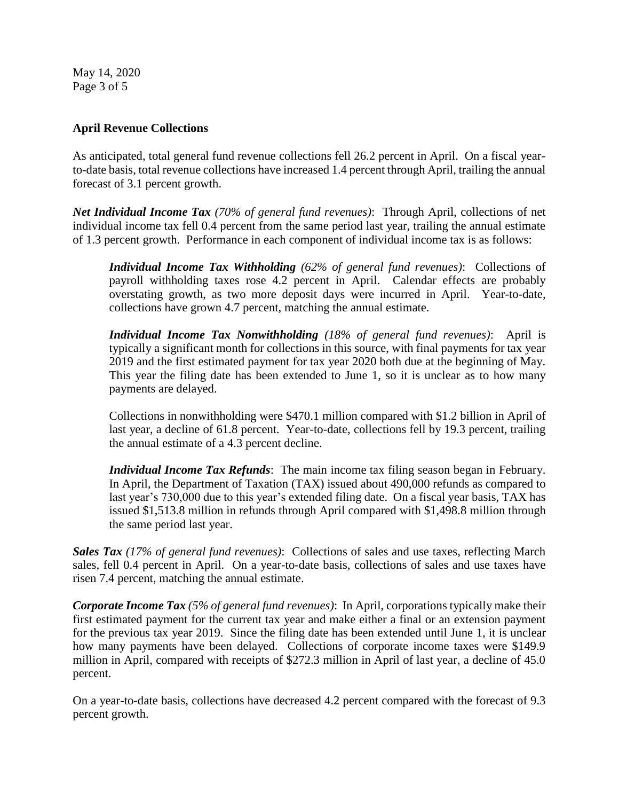May 14, 2020 Page 3 of 5

## **April Revenue Collections**

As anticipated, total general fund revenue collections fell 26.2 percent in April. On a fiscal yearto-date basis, total revenue collections have increased 1.4 percent through April, trailing the annual forecast of 3.1 percent growth.

*Net Individual Income Tax (70% of general fund revenues)*: Through April, collections of net individual income tax fell 0.4 percent from the same period last year, trailing the annual estimate of 1.3 percent growth. Performance in each component of individual income tax is as follows:

*Individual Income Tax Withholding (62% of general fund revenues)*: Collections of payroll withholding taxes rose 4.2 percent in April. Calendar effects are probably overstating growth, as two more deposit days were incurred in April. Year-to-date, collections have grown 4.7 percent, matching the annual estimate.

*Individual Income Tax Nonwithholding (18% of general fund revenues)*: April is typically a significant month for collections in this source, with final payments for tax year 2019 and the first estimated payment for tax year 2020 both due at the beginning of May. This year the filing date has been extended to June 1, so it is unclear as to how many payments are delayed.

Collections in nonwithholding were \$470.1 million compared with \$1.2 billion in April of last year, a decline of 61.8 percent. Year-to-date, collections fell by 19.3 percent, trailing the annual estimate of a 4.3 percent decline.

*Individual Income Tax Refunds*: The main income tax filing season began in February. In April, the Department of Taxation (TAX) issued about 490,000 refunds as compared to last year's 730,000 due to this year's extended filing date. On a fiscal year basis, TAX has issued \$1,513.8 million in refunds through April compared with \$1,498.8 million through the same period last year.

*Sales Tax (17% of general fund revenues)*: Collections of sales and use taxes, reflecting March sales, fell 0.4 percent in April. On a year-to-date basis, collections of sales and use taxes have risen 7.4 percent, matching the annual estimate.

*Corporate Income Tax (5% of general fund revenues)*: In April, corporations typically make their first estimated payment for the current tax year and make either a final or an extension payment for the previous tax year 2019. Since the filing date has been extended until June 1, it is unclear how many payments have been delayed. Collections of corporate income taxes were \$149.9 million in April, compared with receipts of \$272.3 million in April of last year, a decline of 45.0 percent.

On a year-to-date basis, collections have decreased 4.2 percent compared with the forecast of 9.3 percent growth.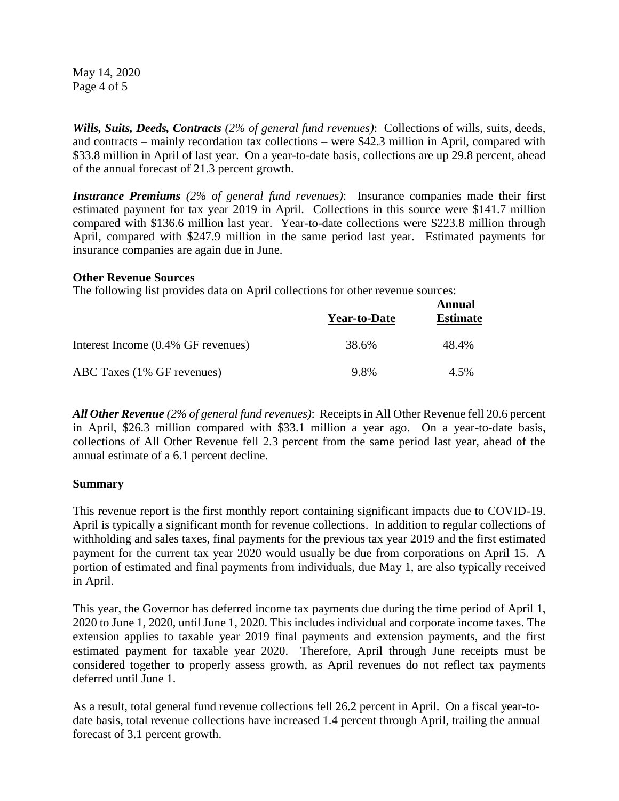May 14, 2020 Page 4 of 5

*Wills, Suits, Deeds, Contracts (2% of general fund revenues)*: Collections of wills, suits, deeds, and contracts – mainly recordation tax collections – were \$42.3 million in April, compared with \$33.8 million in April of last year. On a year-to-date basis, collections are up 29.8 percent, ahead of the annual forecast of 21.3 percent growth.

*Insurance Premiums (2% of general fund revenues)*: Insurance companies made their first estimated payment for tax year 2019 in April. Collections in this source were \$141.7 million compared with \$136.6 million last year. Year-to-date collections were \$223.8 million through April, compared with \$247.9 million in the same period last year. Estimated payments for insurance companies are again due in June.

#### **Other Revenue Sources**

The following list provides data on April collections for other revenue sources:

|                                    | Year-to-Date | Annual<br><b>Estimate</b> |
|------------------------------------|--------------|---------------------------|
| Interest Income (0.4% GF revenues) | 38.6%        | 48.4%                     |
| ABC Taxes (1% GF revenues)         | 9.8%         | 4.5%                      |

*All Other Revenue (2% of general fund revenues)*: Receipts in All Other Revenue fell 20.6 percent in April, \$26.3 million compared with \$33.1 million a year ago. On a year-to-date basis, collections of All Other Revenue fell 2.3 percent from the same period last year, ahead of the annual estimate of a 6.1 percent decline.

## **Summary**

This revenue report is the first monthly report containing significant impacts due to COVID-19. April is typically a significant month for revenue collections. In addition to regular collections of withholding and sales taxes, final payments for the previous tax year 2019 and the first estimated payment for the current tax year 2020 would usually be due from corporations on April 15. A portion of estimated and final payments from individuals, due May 1, are also typically received in April.

This year, the Governor has deferred income tax payments due during the time period of April 1, 2020 to June 1, 2020, until June 1, 2020. This includes individual and corporate income taxes. The extension applies to taxable year 2019 final payments and extension payments, and the first estimated payment for taxable year 2020. Therefore, April through June receipts must be considered together to properly assess growth, as April revenues do not reflect tax payments deferred until June 1.

As a result, total general fund revenue collections fell 26.2 percent in April. On a fiscal year-todate basis, total revenue collections have increased 1.4 percent through April, trailing the annual forecast of 3.1 percent growth.